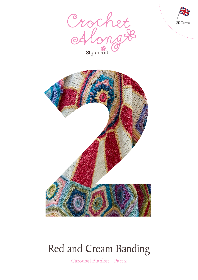





# Red and Cream Banding

Carousel Blanket – Part 2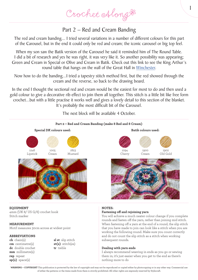# Part 2 – Red and Cream Banding

The red and cream banding... I tried several variations in a number of different colours for this part of the Carousel, but in the end it could only be red and cream; the iconic carousel or big top feel.

When my son saw the Batik version of the Carousel he said it reminded him of The Round Table. I did a bit of research and yes he was right, it was very like it. So another possibility was appearing; Green and Cream in Special or Olive and Cream in Batik. Check out this link to see the King Arthur's round table that hangs on the wall of the Great Hall in Winchester.

Now how to do the banding...I tried a tapestry stitch method first, but the red showed through the cream and the reverse, so back to the drawing board.

In the end I thought the sectional red and cream would be the easiest for most to do and then used a gold colour to give a decorative rib effect to join them all together. This stitch is a little bit like free form crochet...but with a little practise it works well and gives a lovely detail to this section of the blanket. It's probably the most difficult bit of the Carousel.

The next block will be available 4 October.



**EQUIPMENT** 4mm (UK 8/ US G/6) crochet hook Stitch marker

# **MEASUREMENT**

Motif measures 30cm across at widest point

# **ABBREVIATIONS**

**ch** chain(s) **cm** centimetre(s) **dc** double crochet **mm** millimetre(s) **rep** repeat **sp(s)** space(s)

**sl st** slip stitch **st(s)** stitch(es) **tr** treble

# **NOTES:**

### **Fastening off and rejoining yarn**

You will achieve a much neater colour change if you complete rounds and fasten off the yarn, rather than joining mid stitch. When fastening off a yarn at the end of a round, the slip stitch that you have made to join can look like a stitch when you are working the following round. Make sure you count correctly and do not count the slip stitch as a stitch when working subsequent rounds.

1

### **Dealing with yarn ends**

I always recommend weaving in ends as you go or sewing them in; it's just easier when you get to the end as there's nothing more to do

**WARNING – COPYRIGHT** This publication is protected by the law of copyright and may not be reproduced or copied either by photocopying or in any other way. Commercial use of either the patterns or the items made from them is strictly prohibited. All other rights are expressly reserved by Stylecraft.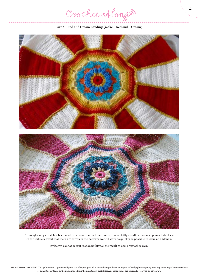Crochet Along #

**Part 2 – Red and Cream Banding (make 8 Red and 8 Cream)**



**Although every effort has been made to ensure that instructions are correct, Stylecraft cannot accept any liabilities. In the unlikely event that there are errors in the patterns we will work as quickly as possible to issue an addenda.**

**Stylecraft cannot accept responsibility for the result of using any other yarn.**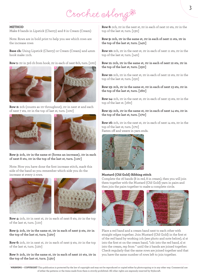Crochet Along &

#### **METHOD**

Make 8 bands in Lipstick (Cherry) and 8 in Cream (Cream)

Note: Rows are in bold print to help you see which rows are the increase rows

**Base ch:** Using Lipstick (Cherry) or Cream (Cream) and 4mm hook make 11ch.

**Row 1:** 1tr in 3rd ch from hook, 1tr in each of next 8ch, turn. [10tr]





**Row 2:** 2ch (counts as 1tr throughout), 1tr in next st and each of next 7 sts, 1tr in the top of last st, turn. [10tr]





**Row 3: 2ch, 1tr in the same st (forms an increase), 1tr in each of next 8 sts, 1tr in the top of the last st, turn. [11tr]**

Note: Now you have done the first increase stitch, mark this side of the band so you remember which side you do the increase st every 2 rows.



**Row 4:** 2ch, 1tr in next st, 1tr in each of next 8 sts, 1tr in the top of the last st, turn. [11tr]

**Row 5: 2ch, 1tr in the same st, 1tr in each of next 9 sts, 1tr in the top of the last st, turn. [12tr]**

**Row 6:** 2ch, 1tr in next st, 1tr in each of next 9 sts, 1tr in the top of the last st, turn. [12tr]

**Row 7: 2ch, 1tr in the same st, 1tr in each of next 10 sts, 1tr in the top of the last st, turn. [13tr]**

**Row 8:** 2ch, 1tr in the next st, 1tr in each of next 10 sts, 1tr in the top of the last st, turn. [13tr]

**Row 9: 2ch, 1tr in the same st, 1tr in each of next 11 sts, 1tr in the top of the last st, turn. [14tr]**

**Row 10:** 2ch, 1tr in the next st, 1tr in each of next 11 sts, 1tr in the top of the last st, turn. [14tr]

**Row 11: 2ch, 1tr in the same st, 1tr in each of next 12 sts, 1tr in the top of the last st, turn. [15tr]**

**Row 12:** 2ch, 1tr in the next st, 1tr in each of next 12 sts, 1tr in the top of the last st, turn. [15tr]

**Row 13: 2ch, 1tr in the same st, 1tr in each of next 13 sts, 1tr in the top of the last st, turn. [16tr]**

**Row 14:** 2ch, 1tr in the next st, 1tr in each of next 13 sts, 1tr in the top of the last st. [16tr]

**Row 15: 2ch, 1tr in the same st, 1tr in each of next 14 sts, 1tr in the top of the last st, turn. [17tr]**

**Row 16:** 2ch, 1tr in the next st, 1tr in each of next 14 sts, 1tr in the top of the last st, turn. [17tr] Fasten off and weave in yarn ends.



#### **Mustard (Old Gold) Ribbing stitch**

Complete the 16 bands (8 in red, 8 in cream), then you will join them together with the Mustard (Old Gold) yarn in pairs and then join the pairs together to make a complete circle.



Place a red band and a cream band next to each other with straight edges together. Join Mustard (Old Gold) in the first st of the red band by working 1ch (see photo and note below), sl st into the first st on the cream band, \*1dc into the red band, sl st into the cream, rep from \* until the 2 bands are joined together. Check regularly that the same rows are joined together and that you have the same number of rows left to join together.

**WARNING – COPYRIGHT** This publication is protected by the law of copyright and may not be reproduced or copied either by photocopying or in any other way. Commercial use of either the patterns or the items made from them is strictly prohibited. All other rights are expressly reserved by Stylecraft.